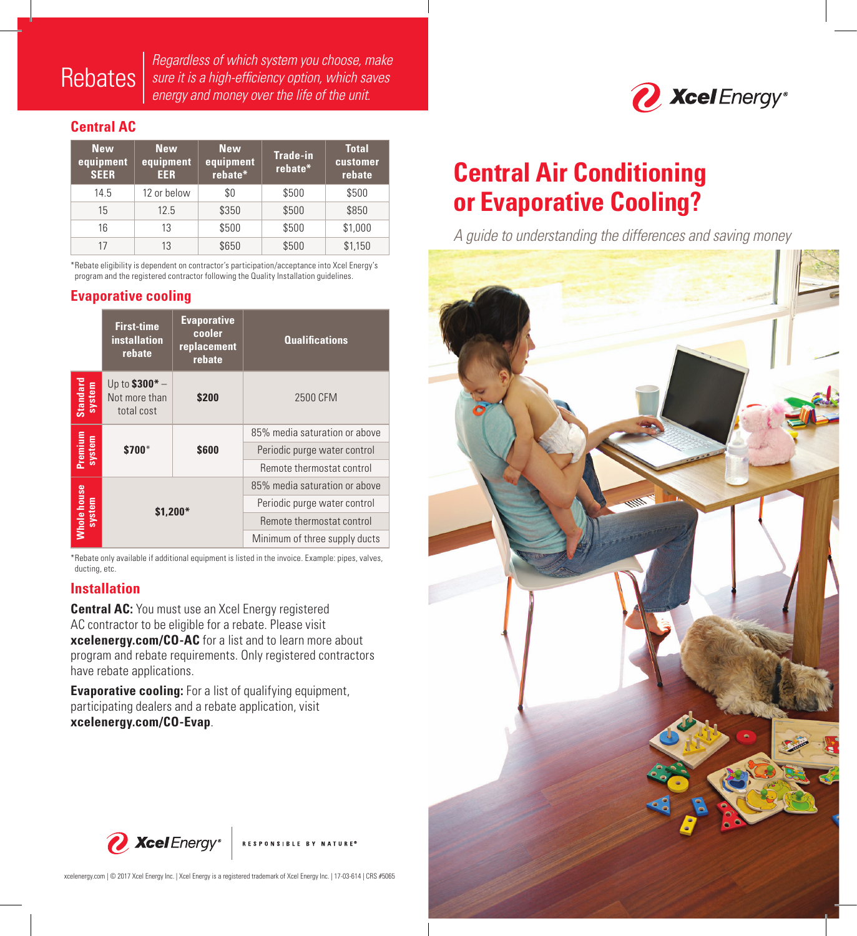# **Rebates**

*Regardless of which system you choose, make sure it is a high-efficiency option, which saves energy and money over the life of the unit.* 

## **Central AC**

| <b>New</b><br>equipment,<br><b>SEER</b> | <b>New</b><br>equipment<br><b>EER</b> | <b>New</b><br>equipment<br>rebate* | <b>Trade-in</b><br>rebate* | <b>Total</b><br>customer<br>rebate |
|-----------------------------------------|---------------------------------------|------------------------------------|----------------------------|------------------------------------|
| 14.5                                    | 12 or below                           | \$0                                | \$500                      | \$500                              |
| 15                                      | 12.5                                  | \$350                              | \$500                      | \$850                              |
| 16                                      | 13                                    | \$500                              | \$500                      | \$1,000                            |
| 17                                      | 13                                    | \$650                              | \$500                      | \$1,150                            |

\*Rebate eligibility is dependent on contractor's participation/acceptance into Xcel Energy's program and the registered contractor following the Quality Installation guidelines.

### **Evaporative cooling**

|                    | <b>First-time</b><br><b>installation</b><br>rebate | <b>Evaporative</b><br>cooler<br>replacement<br>rebate | <b>Qualifications</b>         |  |
|--------------------|----------------------------------------------------|-------------------------------------------------------|-------------------------------|--|
| Standard<br>system | Up to $$300* -$<br>Not more than<br>total cost     | \$200                                                 | 2500 CFM                      |  |
| Premium<br>system  | \$700*                                             |                                                       | 85% media saturation or above |  |
|                    |                                                    | \$600                                                 | Periodic purge water control  |  |
|                    |                                                    |                                                       | Remote thermostat control     |  |
|                    |                                                    |                                                       | 85% media saturation or above |  |
| system             | \$1,200*                                           |                                                       | Periodic purge water control  |  |
| <b>Whole house</b> |                                                    |                                                       | Remote thermostat control     |  |
|                    |                                                    |                                                       | Minimum of three supply ducts |  |

\*Rebate only available if additional equipment is listed in the invoice. Example: pipes, valves, ducting, etc.

### **Installation**

**Central AC:** You must use an Xcel Energy registered AC contractor to be eligible for a rebate. Please visit **xcelenergy.com/CO-AC** for a list and to learn more about program and rebate requirements. Only registered contractors have rebate applications.

**Evaporative cooling:** For a list of qualifying equipment, participating dealers and a rebate application, visit **xcelenergy.com/CO-Evap**.



xcelenergy.com | © 2017 Xcel Energy Inc. | Xcel Energy is a registered trademark of Xcel Energy Inc. | 17-03-614 | CRS #5065



# **Central Air Conditioning or Evaporative Cooling?**

*A guide to understanding the differences and saving money*